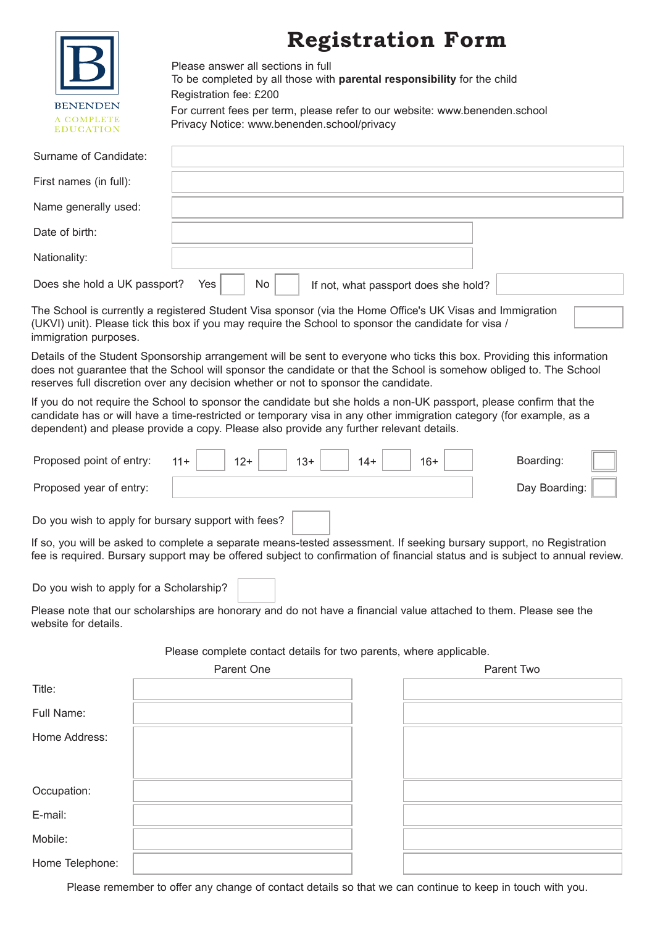|                                            | <b>Registration Form</b><br>Please answer all sections in full<br>To be completed by all those with parental responsibility for the child<br>Registration fee: £200                                                                                                                                                                  |
|--------------------------------------------|--------------------------------------------------------------------------------------------------------------------------------------------------------------------------------------------------------------------------------------------------------------------------------------------------------------------------------------|
| BENENDEN<br>A COMPLETE<br><b>EDUCATION</b> | For current fees per term, please refer to our website: www.benenden.school<br>Privacy Notice: www.benenden.school/privacy                                                                                                                                                                                                           |
| Surname of Candidate:                      |                                                                                                                                                                                                                                                                                                                                      |
| First names (in full):                     |                                                                                                                                                                                                                                                                                                                                      |
| Name generally used:                       |                                                                                                                                                                                                                                                                                                                                      |
| Date of birth:                             |                                                                                                                                                                                                                                                                                                                                      |
| Nationality:                               |                                                                                                                                                                                                                                                                                                                                      |
| Does she hold a UK passport?               | Yes<br>No<br>If not, what passport does she hold?                                                                                                                                                                                                                                                                                    |
| immigration purposes.                      | The School is currently a registered Student Visa sponsor (via the Home Office's UK Visas and Immigration<br>(UKVI) unit). Please tick this box if you may require the School to sponsor the candidate for visa /                                                                                                                    |
|                                            | Details of the Student Sponsorship arrangement will be sent to everyone who ticks this box. Providing this information<br>does not guarantee that the School will sponsor the candidate or that the School is somehow obliged to. The School<br>reserves full discretion over any decision whether or not to sponsor the candidate.  |
|                                            | If you do not require the School to sponsor the candidate but she holds a non-UK passport, please confirm that the<br>candidate has or will have a time-restricted or temporary visa in any other immigration category (for example, as a<br>dependent) and please provide a copy. Please also provide any further relevant details. |
| Proposed point of entry:                   | Boarding:<br>$11 +$<br>$12+$<br>$13+$<br>$14+$<br>$16+$                                                                                                                                                                                                                                                                              |
| Proposed year of entry:                    | Day Boarding:                                                                                                                                                                                                                                                                                                                        |
|                                            | Do you wish to apply for bursary support with fees?                                                                                                                                                                                                                                                                                  |
|                                            | If so, you will be asked to complete a separate means-tested assessment. If seeking bursary support, no Registration<br>fee is required. Bursary support may be offered subject to confirmation of financial status and is subject to annual review.                                                                                 |
| Do you wish to apply for a Scholarship?    |                                                                                                                                                                                                                                                                                                                                      |
| website for details.                       | Please note that our scholarships are honorary and do not have a financial value attached to them. Please see the                                                                                                                                                                                                                    |
|                                            | Please complete contact details for two parents, where applicable.                                                                                                                                                                                                                                                                   |
|                                            | Parent One<br><b>Parent Two</b>                                                                                                                                                                                                                                                                                                      |
| Title:                                     |                                                                                                                                                                                                                                                                                                                                      |
| Full Name:                                 |                                                                                                                                                                                                                                                                                                                                      |
| Home Address:                              |                                                                                                                                                                                                                                                                                                                                      |
| Occupation:                                |                                                                                                                                                                                                                                                                                                                                      |
| E-mail:                                    |                                                                                                                                                                                                                                                                                                                                      |
| Mobile:                                    |                                                                                                                                                                                                                                                                                                                                      |

Please remember to offer any change of contact details so that we can continue to keep in touch with you.

Home Telephone: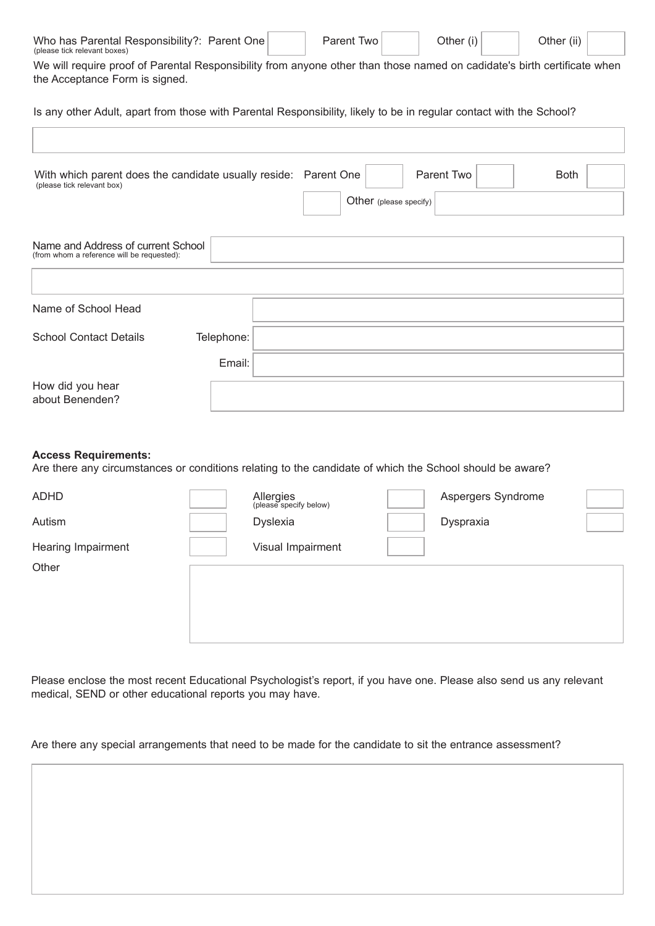| Who has Parental Responsibility?: Parent One<br>(please tick relevant boxes)                                                                         |        | Parent Two | Other (i) | Other (ii) |  |  |  |  |  |
|------------------------------------------------------------------------------------------------------------------------------------------------------|--------|------------|-----------|------------|--|--|--|--|--|
| We will require proof of Parental Responsibility from anyone other than those named on cadidate's birth certificate when                             |        |            |           |            |  |  |  |  |  |
| the Acceptance Form is signed.                                                                                                                       |        |            |           |            |  |  |  |  |  |
| Is any other Adult, apart from those with Parental Responsibility, likely to be in regular contact with the School?                                  |        |            |           |            |  |  |  |  |  |
|                                                                                                                                                      |        |            |           |            |  |  |  |  |  |
| Parent Two<br>With which parent does the candidate usually reside: Parent One<br><b>Both</b><br>(please tick relevant box)<br>Other (please specify) |        |            |           |            |  |  |  |  |  |
|                                                                                                                                                      |        |            |           |            |  |  |  |  |  |
| Name and Address of current School                                                                                                                   |        |            |           |            |  |  |  |  |  |
| (from whom a reference will be requested):                                                                                                           |        |            |           |            |  |  |  |  |  |
|                                                                                                                                                      |        |            |           |            |  |  |  |  |  |
| Name of School Head                                                                                                                                  |        |            |           |            |  |  |  |  |  |
| <b>School Contact Details</b><br>Telephone:                                                                                                          |        |            |           |            |  |  |  |  |  |
|                                                                                                                                                      |        |            |           |            |  |  |  |  |  |
|                                                                                                                                                      | Email: |            |           |            |  |  |  |  |  |
| How did you hear<br>about Benenden?                                                                                                                  |        |            |           |            |  |  |  |  |  |

# **Access Requirements:**

Are there any circumstances or conditions relating to the candidate of which the School should be aware?

| <b>ADHD</b>        | Allergies<br>(please specify below) | Aspergers Syndrome |
|--------------------|-------------------------------------|--------------------|
| Autism             | Dyslexia                            | Dyspraxia          |
| Hearing Impairment | Visual Impairment                   |                    |
| Other              |                                     |                    |
|                    |                                     |                    |
|                    |                                     |                    |
|                    |                                     |                    |

Please enclose the most recent Educational Psychologist's report, if you have one. Please also send us any relevant medical, SEND or other educational reports you may have.

Are there any special arrangements that need to be made for the candidate to sit the entrance assessment?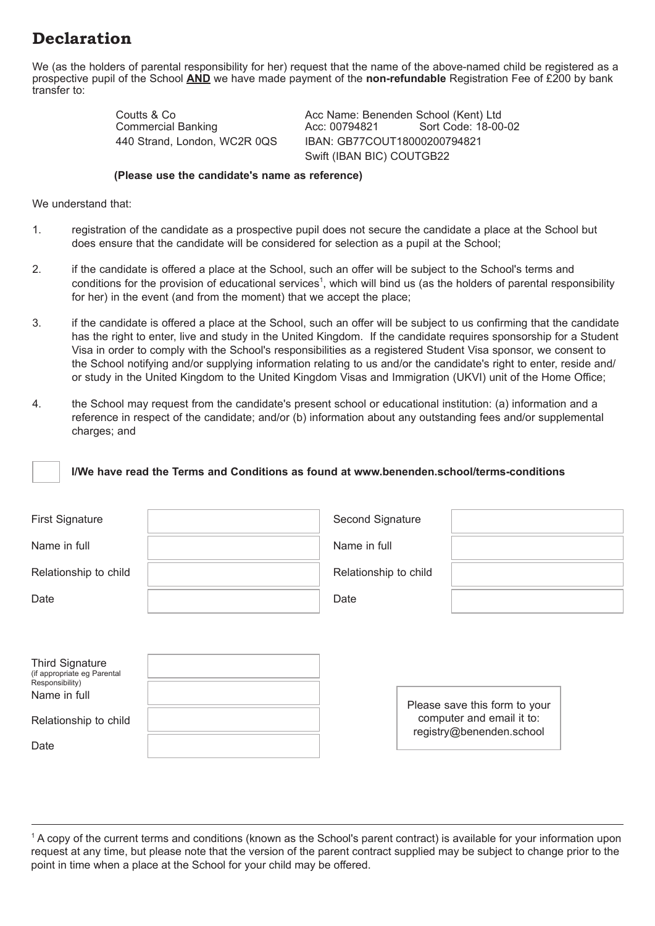# **Declaration**

We (as the holders of parental responsibility for her) request that the name of the above-named child be registered as a prospective pupil of the School **AND** we have made payment of the **non-refundable** Registration Fee of £200 by bank transfer to:

Commercial Banking

Coutts & Co **Acc Name: Benenden School (Kent) Ltd**<br>Commercial Banking **Acc: 00794821** Sort Code: 18-00-02 440 Strand, London, WC2R 0QS IBAN: GB77COUT18000200794821 Swift (IBAN BIC) COUTGB22

### **(Please use the candidate's name as reference)**

We understand that:

- 1. registration of the candidate as a prospective pupil does not secure the candidate a place at the School but does ensure that the candidate will be considered for selection as a pupil at the School;
- 2. if the candidate is offered a place at the School, such an offer will be subject to the School's terms and conditions for the provision of educational services<sup>1</sup>, which will bind us (as the holders of parental responsibility for her) in the event (and from the moment) that we accept the place;
- 3. if the candidate is offered a place at the School, such an offer will be subject to us confirming that the candidate has the right to enter, live and study in the United Kingdom. If the candidate requires sponsorship for a Student Visa in order to comply with the School's responsibilities as a registered Student Visa sponsor, we consent to the School notifying and/or supplying information relating to us and/or the candidate's right to enter, reside and/ or study in the United Kingdom to the United Kingdom Visas and Immigration (UKVI) unit of the Home Office;
- 4. the School may request from the candidate's present school or educational institution: (a) information and a reference in respect of the candidate; and/or (b) information about any outstanding fees and/or supplemental charges; and

# **I/We have read the Terms and Conditions as found at www.benenden.school/terms-conditions**

| <b>First Signature</b>                                                                                            | Second Signature      |                          |                                                            |  |
|-------------------------------------------------------------------------------------------------------------------|-----------------------|--------------------------|------------------------------------------------------------|--|
| Name in full                                                                                                      | Name in full          |                          |                                                            |  |
| Relationship to child                                                                                             | Relationship to child |                          |                                                            |  |
| Date                                                                                                              | Date                  |                          |                                                            |  |
|                                                                                                                   |                       |                          |                                                            |  |
| <b>Third Signature</b><br>(if appropriate eg Parental<br>Responsibility)<br>Name in full<br>Relationship to child |                       |                          | Please save this form to your<br>computer and email it to: |  |
| Date                                                                                                              |                       | registry@benenden.school |                                                            |  |

 $^{\circ}$  A copy of the current terms and conditions (known as the School's parent contract) is available for your information upon request at any time, but please note that the version of the parent contract supplied may be subject to change prior to the point in time when a place at the School for your child may be offered.